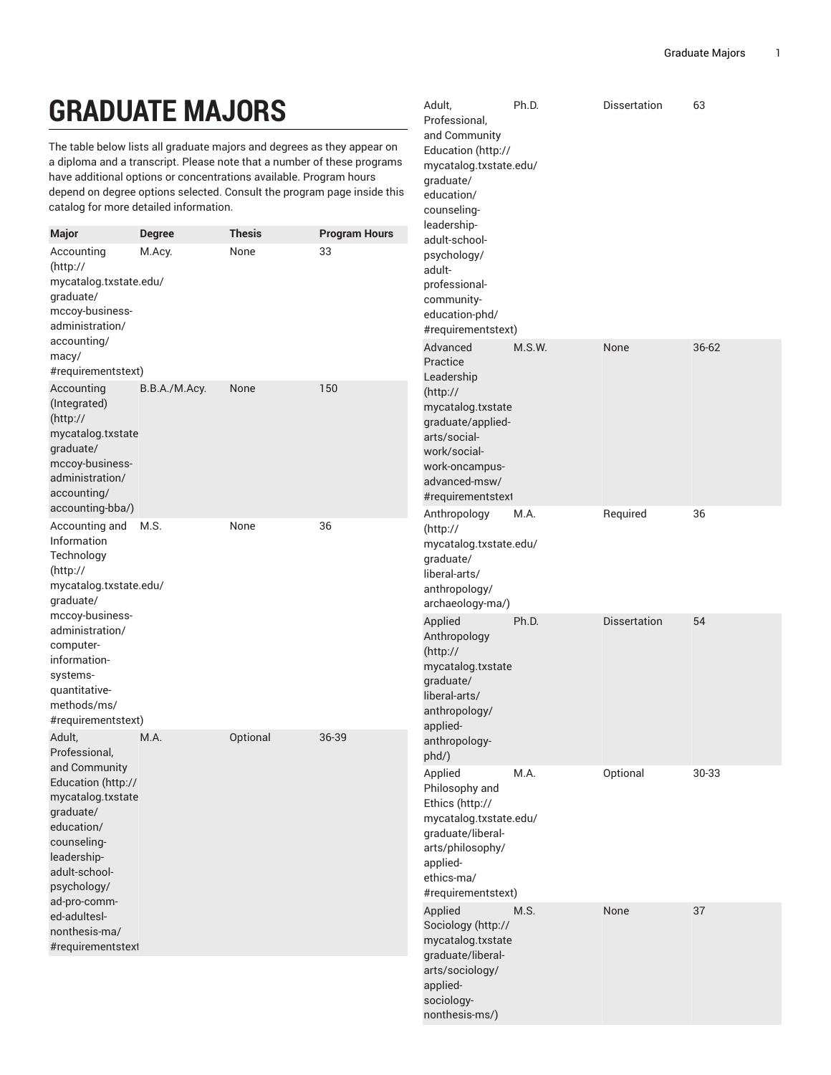Ph.D. Dissertation 63

## **GRADUATE MAJORS**

The table below lists all graduate majors and degrees as they appear on a diploma and a transcript. Please note that a number of these programs have additional options or concentrations available. Program hours depend on degree options selected. Consult the program page inside this catalog for more detailed information.

|                                                                                                                                                                   | catalog for more detailed information. |               | depend on degree options selected. Consult the program page inside this                                                                                         | education/<br>counseling-                                                                                                                  |          |              |       |  |
|-------------------------------------------------------------------------------------------------------------------------------------------------------------------|----------------------------------------|---------------|-----------------------------------------------------------------------------------------------------------------------------------------------------------------|--------------------------------------------------------------------------------------------------------------------------------------------|----------|--------------|-------|--|
| <b>Major</b>                                                                                                                                                      | <b>Degree</b>                          | <b>Thesis</b> | <b>Program Hours</b>                                                                                                                                            | leadership-<br>adult-school-                                                                                                               |          |              |       |  |
| Accounting<br>(http://<br>mycatalog.txstate.edu/<br>qraduate/<br>mccoy-business-<br>administration/<br>accounting/                                                | M.Acy.                                 | None          | 33                                                                                                                                                              | psychology/<br>adult-<br>professional-<br>community-<br>education-phd/<br>#requirementstext)                                               |          |              |       |  |
| macy/<br>#requirementstext)                                                                                                                                       |                                        |               |                                                                                                                                                                 | Advanced<br>Practice<br>Leadership                                                                                                         | M.S.W.   | None         | 36-62 |  |
| Accounting<br>(Integrated)<br>(http://<br>mycatalog.txstate<br>graduate/<br>mccoy-business-<br>administration/<br>accounting/                                     | B.B.A./M.Acy.                          | None          | 150                                                                                                                                                             | (http://<br>mycatalog.txstate<br>graduate/applied-<br>arts/social-<br>work/social-<br>work-oncampus-<br>advanced-msw/<br>#requirementstext |          |              |       |  |
| accounting-bba/)<br>Accounting and<br>Information<br>Technology<br>(http://<br>mycatalog.txstate.edu/<br>graduate/                                                | 36<br>M.S.<br>None                     |               | Anthropology<br>(http://<br>mycatalog.txstate.edu/<br>graduate/<br>liberal-arts/<br>anthropology/<br>archaeology-ma/)                                           | M.A.                                                                                                                                       | Required | 36           |       |  |
| mccoy-business-<br>administration/<br>computer-<br>information-<br>systems-<br>quantitative-<br>methods/ms/<br>#requirementstext)                                 |                                        |               |                                                                                                                                                                 | Applied<br>Anthropology<br>(http://<br>mycatalog.txstate<br>graduate/<br>liberal-arts/<br>anthropology/<br>applied-                        | Ph.D.    | Dissertation | 54    |  |
| Adult,<br>Professional,                                                                                                                                           | M.A.                                   | Optional      | 36-39                                                                                                                                                           | anthropology-<br>phd/)                                                                                                                     |          |              |       |  |
| and Community<br>Education (http://<br>mycatalog.txstate<br>graduate/<br>education/<br>counseling-<br>leadership-<br>adult-school-<br>psychology/<br>ad-pro-comm- |                                        |               | Applied<br>Philosophy and<br>Ethics (http://<br>mycatalog.txstate.edu/<br>graduate/liberal-<br>arts/philosophy/<br>applied-<br>ethics-ma/<br>#requirementstext) | M.A.                                                                                                                                       | Optional | 30-33        |       |  |
| ed-adultesl-<br>nonthesis-ma/<br>#requirementstext                                                                                                                |                                        |               |                                                                                                                                                                 | Applied<br>Sociology (http://<br>mycatalog.txstate<br>graduate/liberal-<br>arts/sociology/<br>applied-<br>sociology-<br>nonthesis-ms/)     | M.S.     | None         | 37    |  |

[Adult,](http://mycatalog.txstate.edu/graduate/education/counseling-leadership-adult-school-psychology/adult-professional-community-education-phd/#requirementstext) [Professional,](http://mycatalog.txstate.edu/graduate/education/counseling-leadership-adult-school-psychology/adult-professional-community-education-phd/#requirementstext) [and Community](http://mycatalog.txstate.edu/graduate/education/counseling-leadership-adult-school-psychology/adult-professional-community-education-phd/#requirementstext) [Education \(http://](http://mycatalog.txstate.edu/graduate/education/counseling-leadership-adult-school-psychology/adult-professional-community-education-phd/#requirementstext) [mycatalog.txstate.edu/](http://mycatalog.txstate.edu/graduate/education/counseling-leadership-adult-school-psychology/adult-professional-community-education-phd/#requirementstext)

[graduate/](http://mycatalog.txstate.edu/graduate/education/counseling-leadership-adult-school-psychology/adult-professional-community-education-phd/#requirementstext)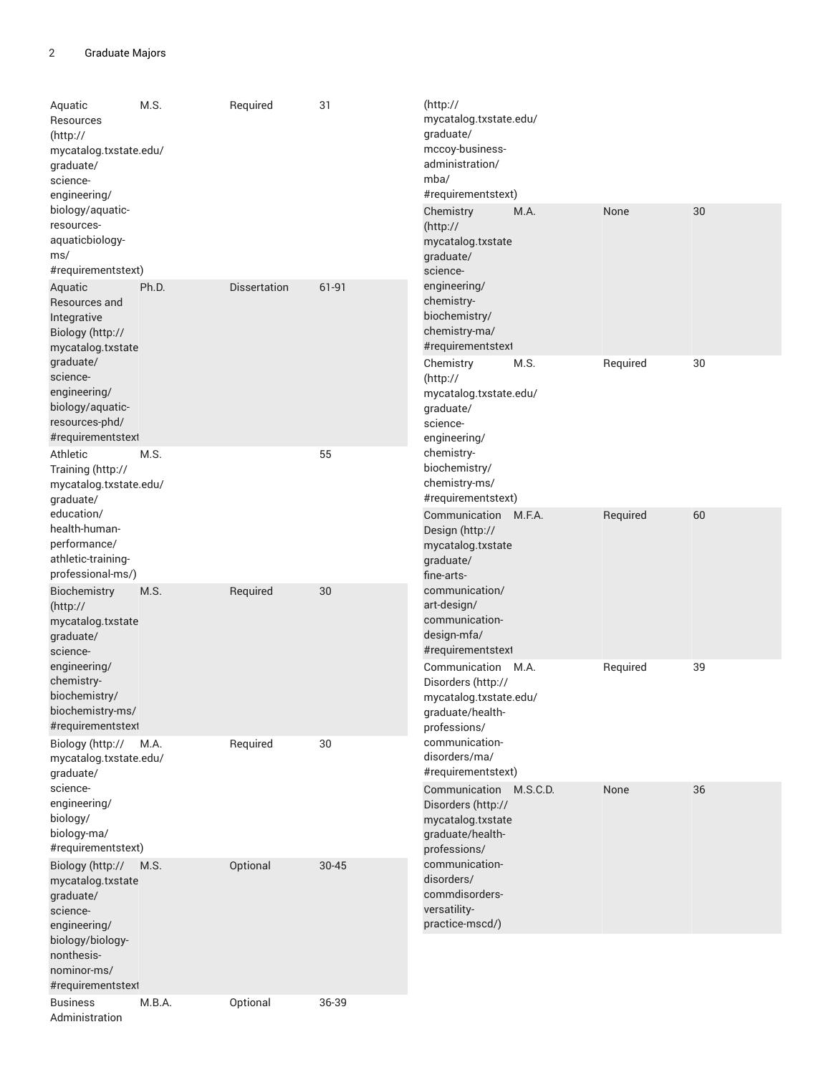| Aquatic<br>Resources<br>(http://<br>mycatalog.txstate.edu/<br>qraduate/<br>science-<br>engineering/<br>biology/aquatic-<br>resources-<br>aquaticbiology-<br>ms/<br>#requirementstext) | M.S.   | Required     | 31    | (http://<br>mycatalog.txstate.edu/<br>qraduate/<br>mccoy-business-<br>administration/<br>mba/<br>#requirementstext)<br>Chemistry<br>(http://<br>mycatalog.txstate<br>qraduate/<br>science- | M.A. | None     | 30 |
|---------------------------------------------------------------------------------------------------------------------------------------------------------------------------------------|--------|--------------|-------|--------------------------------------------------------------------------------------------------------------------------------------------------------------------------------------------|------|----------|----|
| Aquatic<br>Resources and<br>Integrative<br>Biology (http://<br>mycatalog.txstate                                                                                                      | Ph.D.  | Dissertation | 61-91 | engineering/<br>chemistry-<br>biochemistry/<br>chemistry-ma/<br>#requirementstext                                                                                                          |      |          |    |
| graduate/<br>science-<br>engineering/<br>biology/aquatic-<br>resources-phd/<br>#requirementstext                                                                                      |        |              |       | Chemistry<br>(http://<br>mycatalog.txstate.edu/<br>qraduate/<br>science-<br>engineering/                                                                                                   | M.S. | Required | 30 |
| Athletic<br>Training (http://<br>mycatalog.txstate.edu/<br>qraduate/                                                                                                                  | M.S.   |              | 55    | chemistry-<br>biochemistry/<br>chemistry-ms/<br>#requirementstext)                                                                                                                         |      |          |    |
| education/<br>health-human-<br>performance/<br>athletic-training-<br>professional-ms/)                                                                                                |        |              |       | Communication M.F.A.<br>Design (http://<br>mycatalog.txstate<br>graduate/<br>fine-arts-                                                                                                    |      | Required | 60 |
| Biochemistry<br>(http://<br>mycatalog.txstate<br>graduate/<br>science-                                                                                                                | M.S.   | Required     | 30    | communication/<br>art-design/<br>communication-<br>design-mfa/<br>#requirementstext                                                                                                        |      |          |    |
| engineering/<br>chemistry-<br>biochemistry/<br>biochemistry-ms/<br>#requirementstext                                                                                                  |        |              |       | Communication M.A.<br>Disorders (http://<br>mycatalog.txstate.edu/<br>graduate/health-<br>professions/                                                                                     |      | Required | 39 |
| Biology (http://<br>mycatalog.txstate.edu/<br>graduate/                                                                                                                               | M.A.   | Required     | 30    | communication-<br>disorders/ma/<br>#requirementstext)                                                                                                                                      |      |          |    |
| science-<br>engineering/<br>biology/<br>biology-ma/<br>#requirementstext)                                                                                                             |        |              |       | Communication M.S.C.D.<br>Disorders (http://<br>mycatalog.txstate<br>graduate/health-<br>professions/                                                                                      |      | None     | 36 |
| Biology (http://<br>mycatalog.txstate<br>graduate/<br>science-<br>engineering/<br>biology/biology-                                                                                    | M.S.   | Optional     | 30-45 | communication-<br>disorders/<br>commdisorders-<br>versatility-<br>practice-mscd/)                                                                                                          |      |          |    |
| nonthesis-<br>nominor-ms/<br>#requirementstext                                                                                                                                        |        |              |       |                                                                                                                                                                                            |      |          |    |
| <b>Business</b><br>Administration                                                                                                                                                     | M.B.A. | Optional     | 36-39 |                                                                                                                                                                                            |      |          |    |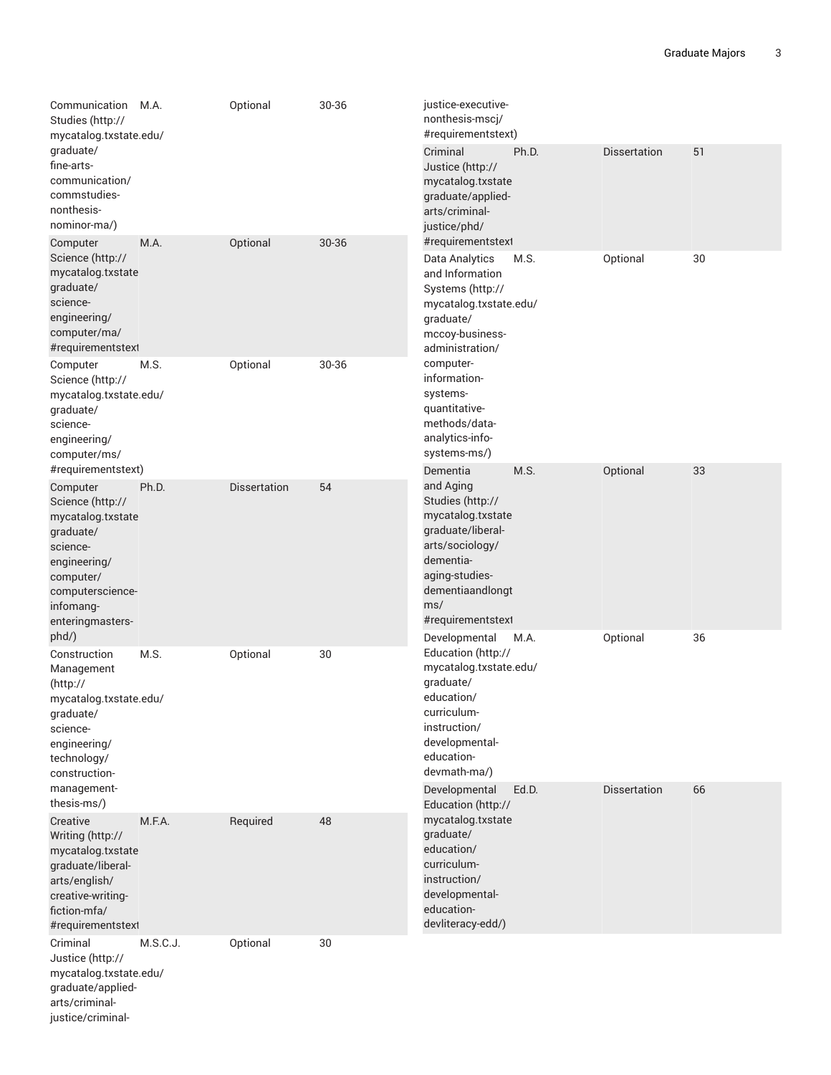| Communication M.A.<br>Studies (http://<br>mycatalog.txstate.edu/                                                                                                                            |          | Optional     | 30-36 | justice-executive-<br>nonthesis-mscj/<br>#requirementstext)                                                                                                                                            |                                           |                      |          |    |
|---------------------------------------------------------------------------------------------------------------------------------------------------------------------------------------------|----------|--------------|-------|--------------------------------------------------------------------------------------------------------------------------------------------------------------------------------------------------------|-------------------------------------------|----------------------|----------|----|
| graduate/<br>fine-arts-<br>communication/<br>commstudies-<br>nonthesis-<br>nominor-ma/)                                                                                                     |          |              |       | Criminal<br>Justice (http://<br>mycatalog.txstate<br>graduate/applied-<br>arts/criminal-<br>justice/phd/                                                                                               | Ph.D.                                     | Dissertation         | 51       |    |
| Computer<br>Science (http://<br>mycatalog.txstate<br>qraduate/<br>science-<br>engineering/<br>computer/ma/<br>#requirementstext                                                             | M.A.     | Optional     | 30-36 | #requirementstext<br>Data Analytics<br>and Information<br>Systems (http://<br>qraduate/<br>mccoy-business-                                                                                             | mycatalog.txstate.edu/<br>administration/ | M.S.                 | Optional | 30 |
| Computer<br>Science (http://<br>mycatalog.txstate.edu/<br>graduate/<br>science-<br>engineering/<br>computer/ms/                                                                             | M.S.     | Optional     | 30-36 | computer-<br>information-<br>systems-<br>quantitative-<br>methods/data-<br>analytics-info-<br>systems-ms/)                                                                                             |                                           |                      |          |    |
| #requirementstext)<br>Computer<br>Science (http://<br>mycatalog.txstate<br>graduate/<br>science-<br>engineering/<br>computer/<br>computerscience-<br>infomang-<br>enteringmasters-<br>phd/) | Ph.D.    | Dissertation | 54    | Dementia<br>and Aging<br>Studies (http://<br>mycatalog.txstate<br>graduate/liberal-<br>arts/sociology/<br>dementia-<br>aging-studies-<br>dementiaandlongt<br>ms/<br>#requirementstext<br>Developmental | M.S.<br>M.A.                              | Optional<br>Optional | 33<br>36 |    |
| Construction<br>Management<br>(http://<br>mycatalog.txstate.edu/<br>graduate/<br>science-<br>engineering/<br>technology/<br>construction-<br>management-                                    | M.S.     | Optional     | 30    | Education (http://<br>mycatalog.txstate.edu/<br>graduate/<br>education/<br>curriculum-<br>instruction/<br>developmental-<br>education-<br>devmath-ma/)<br>Developmental                                | Ed.D.                                     | Dissertation         | 66       |    |
| thesis-ms/)<br>Creative<br>Writing (http://<br>mycatalog.txstate<br>graduate/liberal-<br>arts/english/<br>creative-writing-<br>fiction-mfa/<br>#requirementstext                            | M.F.A.   | Required     | 48    | Education (http://<br>mycatalog.txstate<br>graduate/<br>education/<br>curriculum-<br>instruction/<br>developmental-<br>education-<br>devliteracy-edd/)                                                 |                                           |                      |          |    |
| Criminal<br>Justice (http://<br>mycatalog.txstate.edu/<br>graduate/applied-<br>arts/criminal-                                                                                               | M.S.C.J. | Optional     | 30    |                                                                                                                                                                                                        |                                           |                      |          |    |

justice/criminal-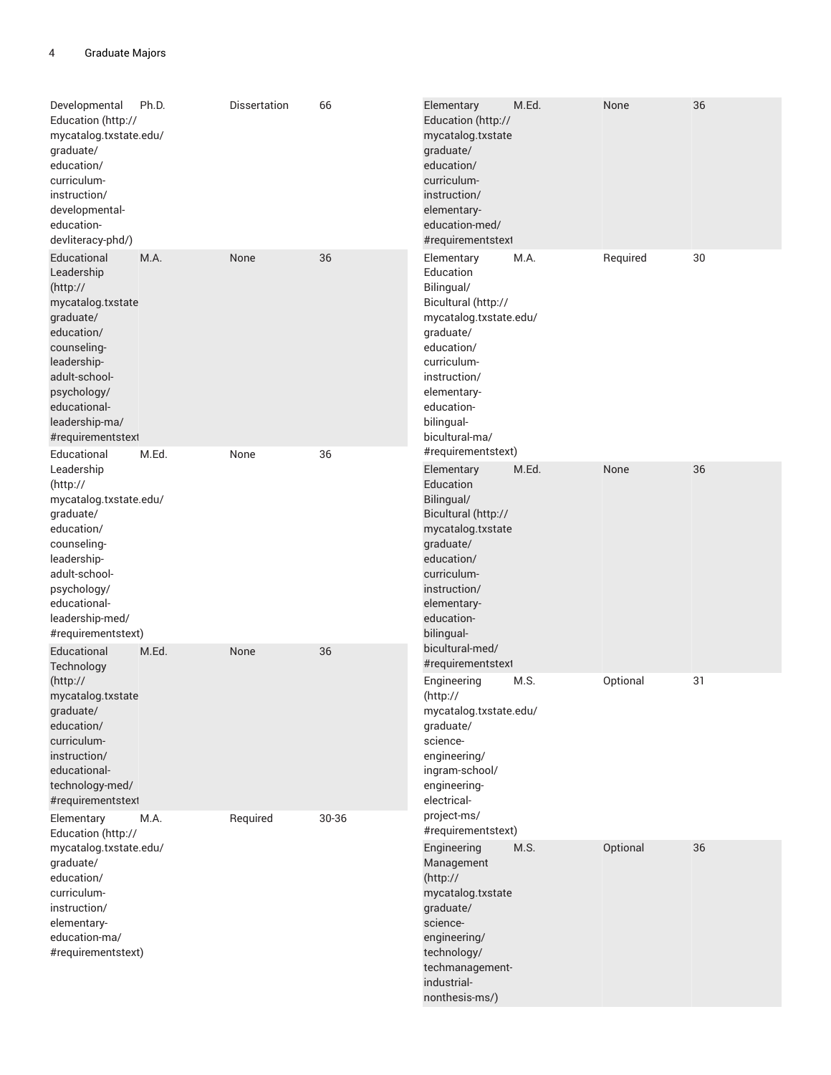| Developmental<br>Education (http://<br>mycatalog.txstate.edu/<br>graduate/<br>education/<br>curriculum-<br>instruction/<br>developmental-<br>education-<br>devliteracy-phd/)                                      | Ph.D.         | Dissertation     | 66          | Elementary<br>Education (http://<br>mycatalog.txstate<br>graduate/<br>education/<br>curriculum-<br>instruction/<br>elementary-<br>education-med/<br>#requirementstext                                                               | M.Ed. | None     | 36 |
|-------------------------------------------------------------------------------------------------------------------------------------------------------------------------------------------------------------------|---------------|------------------|-------------|-------------------------------------------------------------------------------------------------------------------------------------------------------------------------------------------------------------------------------------|-------|----------|----|
| Educational<br>Leadership<br>(htp://<br>mycatalog.txstate<br>graduate/<br>education/<br>counseling-<br>leadership-<br>adult-school-<br>psychology/<br>educational-<br>leadership-ma/<br>#requirementstext         | M.A.          | None             | 36          | Elementary<br>Education<br>Bilingual/<br>Bicultural (http://<br>mycatalog.txstate.edu/<br>graduate/<br>education/<br>curriculum-<br>instruction/<br>elementary-<br>education-<br>bilingual-<br>bicultural-ma/<br>#requirementstext) | M.A.  | Required | 30 |
| Educational<br>Leadership<br>(http://<br>mycatalog.txstate.edu/<br>qraduate/<br>education/<br>counseling-<br>leadership-<br>adult-school-<br>psychology/<br>educational-<br>leadership-med/<br>#requirementstext) | M.Ed.         | None             | 36          | Elementary<br>Education<br>Bilingual/<br>Bicultural (http://<br>mycatalog.txstate<br>graduate/<br>education/<br>curriculum-<br>instruction/<br>elementary-<br>education-<br>bilingual-<br>bicultural-med/                           | M.Ed. | None     | 36 |
| Educational<br>Technology<br>(http://<br>mycatalog.txstate<br>graduate/<br>education/<br>curriculum-<br>instruction/<br>educational-<br>technology-med/<br>#requirementstext<br>Elementary                        | M.Ed.<br>M.A. | None<br>Required | 36<br>30-36 | #requirementstext<br>Engineering<br>(http://<br>mycatalog.txstate.edu/<br>graduate/<br>science-<br>engineering/<br>ingram-school/<br>engineering-<br>electrical-<br>project-ms/                                                     | M.S.  | Optional | 31 |
| Education (http://<br>mycatalog.txstate.edu/<br>graduate/<br>education/<br>curriculum-<br>instruction/<br>elementary-<br>education-ma/<br>#requirementstext)                                                      |               |                  |             | #requirementstext)<br>Engineering<br>Management<br>(http://<br>mycatalog.txstate<br>graduate/<br>science-<br>engineering/<br>technology/<br>techmanagement-<br>industrial-<br>nonthesis-ms/)                                        | M.S.  | Optional | 36 |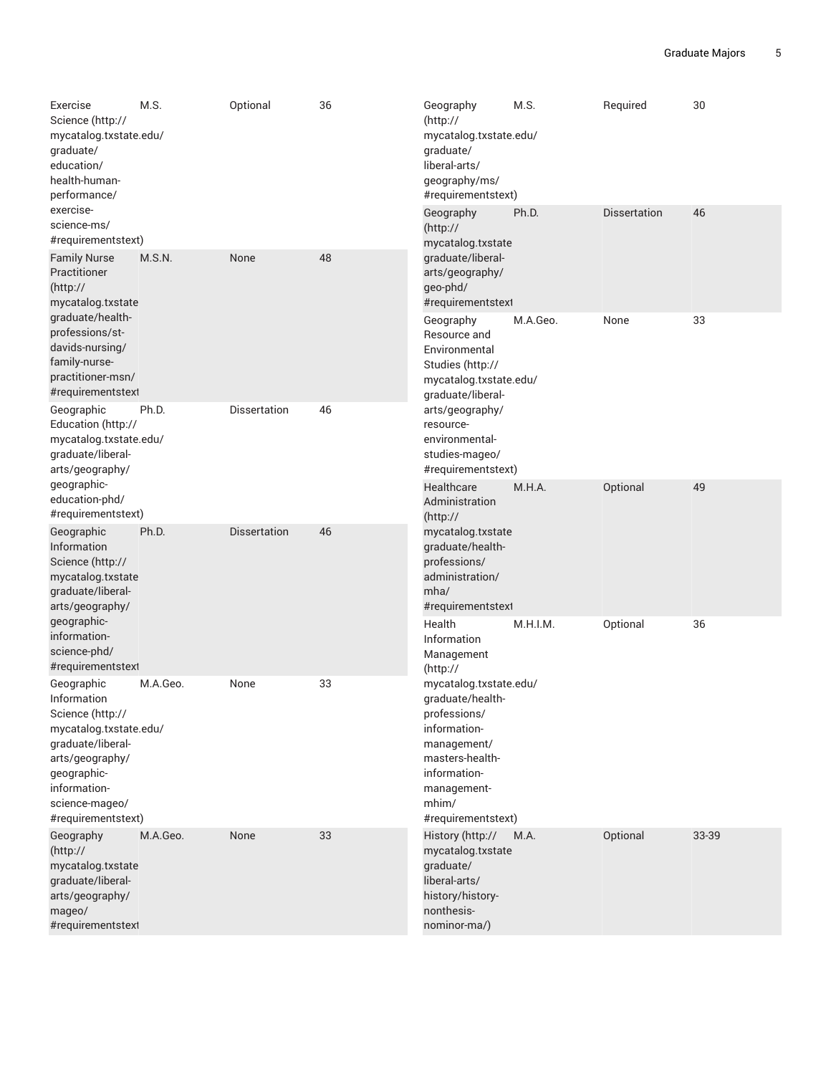| Exercise<br>Science (http://<br>mycatalog.txstate.edu/<br>graduate/<br>education/<br>health-human-<br>performance/<br>exercise-                                                        | M.S.     | Optional     | 36 | Geography<br>(htp://<br>mycatalog.txstate.edu/<br>qraduate/<br>liberal-arts/<br>geography/ms/<br>#requirementstext)<br>Geography                                           | M.S.<br>Ph.D. | Required<br>Dissertation | 30<br>46 |
|----------------------------------------------------------------------------------------------------------------------------------------------------------------------------------------|----------|--------------|----|----------------------------------------------------------------------------------------------------------------------------------------------------------------------------|---------------|--------------------------|----------|
| science-ms/<br>#requirementstext)<br><b>Family Nurse</b><br>Practitioner<br>(http://<br>mycatalog.txstate                                                                              | M.S.N.   | None         | 48 | (http://<br>mycatalog.txstate<br>graduate/liberal-<br>arts/geography/<br>geo-phd/<br>#requirementstext                                                                     |               |                          |          |
| graduate/health-<br>professions/st-<br>davids-nursing/<br>family-nurse-<br>practitioner-msn/<br>#requirementstext                                                                      |          |              |    | Geography<br>Resource and<br>Environmental<br>Studies (http://<br>mycatalog.txstate.edu/<br>graduate/liberal-                                                              | M.A.Geo.      | None                     | 33       |
| Geographic<br>Education (http://<br>mycatalog.txstate.edu/<br>graduate/liberal-<br>arts/geography/                                                                                     | Ph.D.    | Dissertation | 46 | arts/geography/<br>resource-<br>environmental-<br>studies-mageo/<br>#requirementstext)                                                                                     |               |                          |          |
| geographic-<br>education-phd/<br>#requirementstext)                                                                                                                                    |          |              |    | Healthcare<br>Administration<br>(http://                                                                                                                                   | M.H.A.        | Optional                 | 49       |
| Geographic<br>Information<br>Science (http://<br>mycatalog.txstate<br>graduate/liberal-<br>arts/geography/                                                                             | Ph.D.    | Dissertation | 46 | mycatalog.txstate<br>graduate/health-<br>professions/<br>administration/<br>mha/<br>#requirementstext                                                                      |               |                          |          |
| geographic-<br>information-<br>science-phd/<br>#requirementstext                                                                                                                       |          |              |    | Health<br>Information<br>Management<br>(htp://                                                                                                                             | M.H.I.M.      | Optional                 | 36       |
| Geographic<br>Information<br>Science (http://<br>mycatalog.txstate.edu/<br>graduate/liberal-<br>arts/geography/<br>geographic-<br>information-<br>science-mageo/<br>#requirementstext) | M.A.Geo. | None         | 33 | mycatalog.txstate.edu/<br>qraduate/health-<br>professions/<br>information-<br>management/<br>masters-health-<br>information-<br>management-<br>mhim/<br>#requirementstext) |               |                          |          |
| Geography<br>(htp://<br>mycatalog.txstate<br>graduate/liberal-<br>arts/geography/<br>mageo/<br>#requirementstext                                                                       | M.A.Geo. | None         | 33 | History (http://<br>mycatalog.txstate<br>graduate/<br>liberal-arts/<br>history/history-<br>nonthesis-<br>nominor-ma/)                                                      | M.A.          | Optional                 | 33-39    |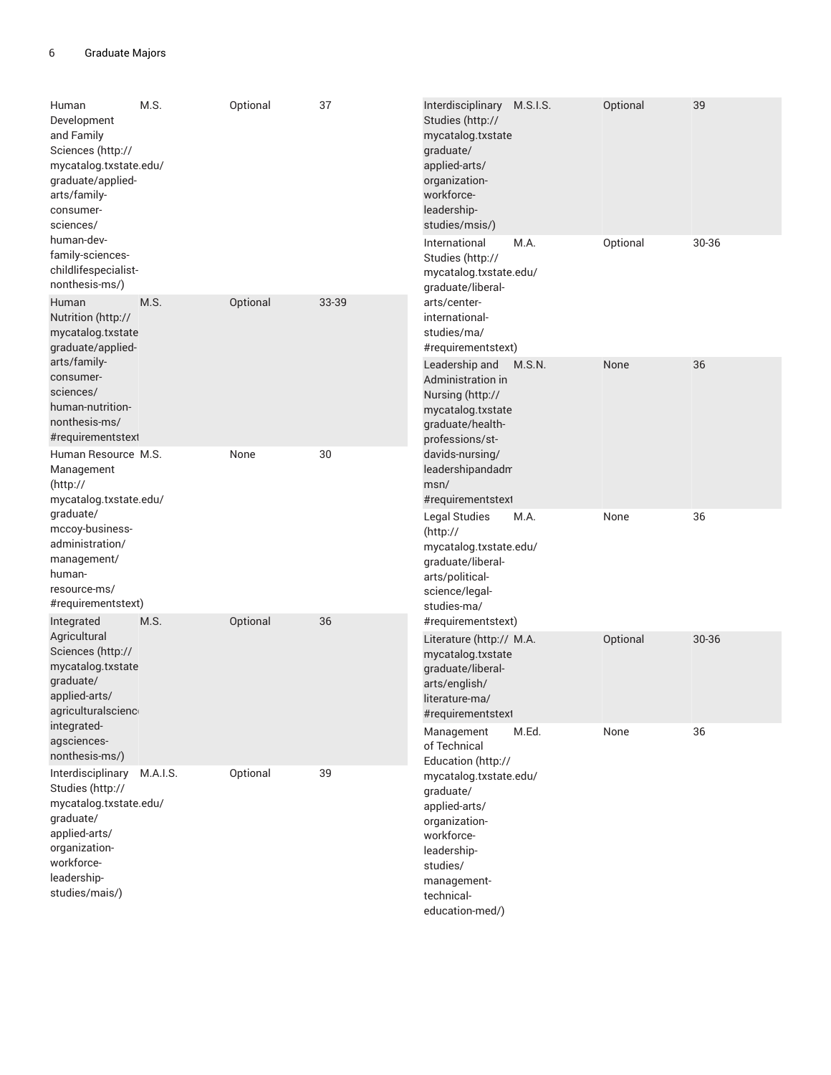| Human<br>Development<br>and Family<br>Sciences (http://<br>mycatalog.txstate.edu/<br>graduate/applied-<br>arts/family-<br>consumer-<br>sciences/              | M.S.     | Optional | 37    | Interdisciplinary M.S.I.S.<br>Studies (http://<br>mycatalog.txstate<br>graduate/<br>applied-arts/<br>organization-<br>workforce-<br>leadership-<br>studies/msis/) |        | Optional | 39    |
|---------------------------------------------------------------------------------------------------------------------------------------------------------------|----------|----------|-------|-------------------------------------------------------------------------------------------------------------------------------------------------------------------|--------|----------|-------|
| human-dev-<br>family-sciences-<br>childlifespecialist-<br>nonthesis-ms/)                                                                                      |          |          |       | International<br>Studies (http://<br>mycatalog.txstate.edu/<br>qraduate/liberal-                                                                                  | M.A.   | Optional | 30-36 |
| Human<br>Nutrition (http://<br>mycatalog.txstate<br>graduate/applied-                                                                                         | M.S.     | Optional | 33-39 | arts/center-<br>international-<br>studies/ma/<br>#requirementstext)                                                                                               |        |          |       |
| arts/family-<br>consumer-<br>sciences/<br>human-nutrition-<br>nonthesis-ms/<br>#requirementstext                                                              |          |          |       | Leadership and<br>Administration in<br>Nursing (http://<br>mycatalog.txstate<br>graduate/health-<br>professions/st-                                               | M.S.N. | None     | 36    |
| Human Resource M.S.<br>Management<br>(http://<br>mycatalog.txstate.edu/                                                                                       |          | None     | 30    | davids-nursing/<br>leadershipandadm<br>msn/<br>#requirementstext                                                                                                  |        |          |       |
| graduate/<br>mccoy-business-<br>administration/<br>management/<br>human-<br>resource-ms/<br>#requirementstext)                                                |          |          |       | Legal Studies<br>(http://<br>mycatalog.txstate.edu/<br>graduate/liberal-<br>arts/political-<br>science/legal-<br>studies-ma/                                      | M.A.   | None     | 36    |
| Integrated<br>Agricultural<br>Sciences (http://<br>mycatalog.txstate<br>qraduate/<br>applied-arts/<br>agriculturalscienc                                      | M.S.     | Optional | 36    | #requirementstext)<br>Literature (http:// M.A.<br>mycatalog.txstate<br>graduate/liberal-<br>arts/english/<br>literature-ma/<br>#requirementstext                  |        | Optional | 30-36 |
| integrated-<br>agsciences-<br>nonthesis-ms/)                                                                                                                  |          |          |       | Management<br>of Technical<br>Education (http://                                                                                                                  | M.Ed.  | None     | 36    |
| Interdisciplinary<br>Studies (http://<br>mycatalog.txstate.edu/<br>graduate/<br>applied-arts/<br>organization-<br>workforce-<br>leadership-<br>studies/mais/) | M.A.I.S. | Optional | 39    | mycatalog.txstate.edu/<br>graduate/<br>applied-arts/<br>organization-<br>workforce-<br>leadership-<br>studies/<br>management-<br>technical-<br>education-med/)    |        |          |       |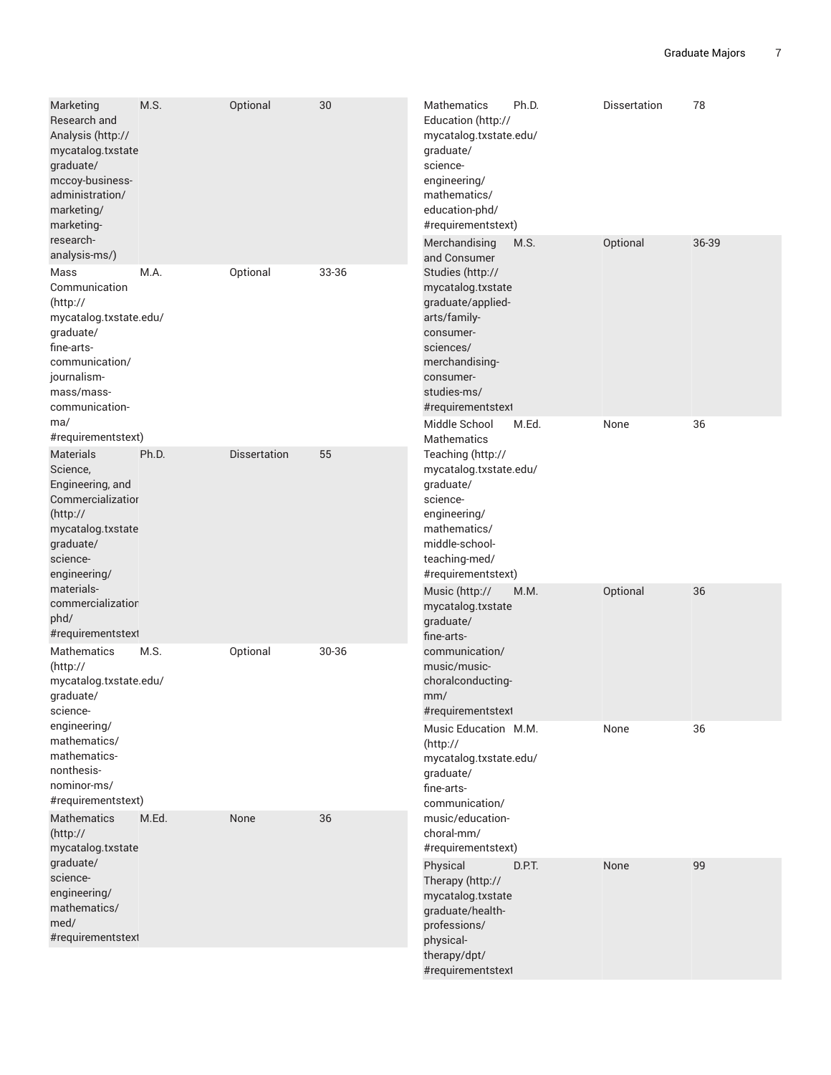| Marketing<br>Research and<br>Analysis (http://<br>mycatalog.txstate<br>graduate/<br>mccoy-business-<br>administration/<br>marketing/<br>marketing-<br>research-             | M.S.  | Optional     | 30    | Mathematics<br>Education (http://<br>mycatalog.txstate.edu/<br>qraduate/<br>science-<br>engineering/<br>mathematics/<br>education-phd/<br>#requirementstext)<br>Merchandising                        | Ph.D.<br>M.S. | Dissertation<br>Optional | 78<br>36-39 |
|-----------------------------------------------------------------------------------------------------------------------------------------------------------------------------|-------|--------------|-------|------------------------------------------------------------------------------------------------------------------------------------------------------------------------------------------------------|---------------|--------------------------|-------------|
| analysis-ms/)<br>Mass<br>Communication<br>(http://<br>mycatalog.txstate.edu/<br>qraduate/<br>fine-arts-<br>communication/<br>journalism-<br>mass/mass-<br>communication-    | M.A.  | Optional     | 33-36 | and Consumer<br>Studies (http://<br>mycatalog.txstate<br>graduate/applied-<br>arts/family-<br>consumer-<br>sciences/<br>merchandising-<br>consumer-<br>studies-ms/<br>#requirementstext              |               |                          |             |
| ma/<br>#requirementstext)<br><b>Materials</b><br>Science,<br>Engineering, and<br>Commercializatior<br>(htp://<br>mycatalog.txstate<br>graduate/<br>science-<br>engineering/ | Ph.D. | Dissertation | 55    | Middle School<br><b>Mathematics</b><br>Teaching (http://<br>mycatalog.txstate.edu/<br>graduate/<br>science-<br>engineering/<br>mathematics/<br>middle-school-<br>teaching-med/<br>#requirementstext) | M.Ed.         | None                     | 36          |
| materials-<br>commercializatior<br>phd/<br>#requirementstext<br><b>Mathematics</b><br>(htp://<br>mycatalog.txstate.edu/<br>graduate/<br>science-                            | M.S.  | Optional     | 30-36 | Music (http://<br>mycatalog.txstate<br>graduate/<br>fine-arts-<br>communication/<br>music/music-<br>choralconducting-<br>mm/<br>#requirementstext                                                    | M.M.          | Optional                 | 36          |
| engineering/<br>mathematics/<br>mathematics-<br>nonthesis-<br>nominor-ms/<br>#requirementstext)<br><b>Mathematics</b>                                                       | M.Ed. | None         | 36    | Music Education M.M.<br>(http://<br>mycatalog.txstate.edu/<br>graduate/<br>fine-arts-<br>communication/<br>music/education-                                                                          |               | None                     | 36          |
| (http://<br>mycatalog.txstate<br>graduate/<br>science-<br>engineering/<br>mathematics/<br>med/<br>#requirementstext                                                         |       |              |       | choral-mm/<br>#requirementstext)<br>Physical<br>Therapy (http://<br>mycatalog.txstate<br>graduate/health-<br>professions/<br>physical-<br>therapy/dpt/<br>#requirementstext                          | D.P.T.        | None                     | 99          |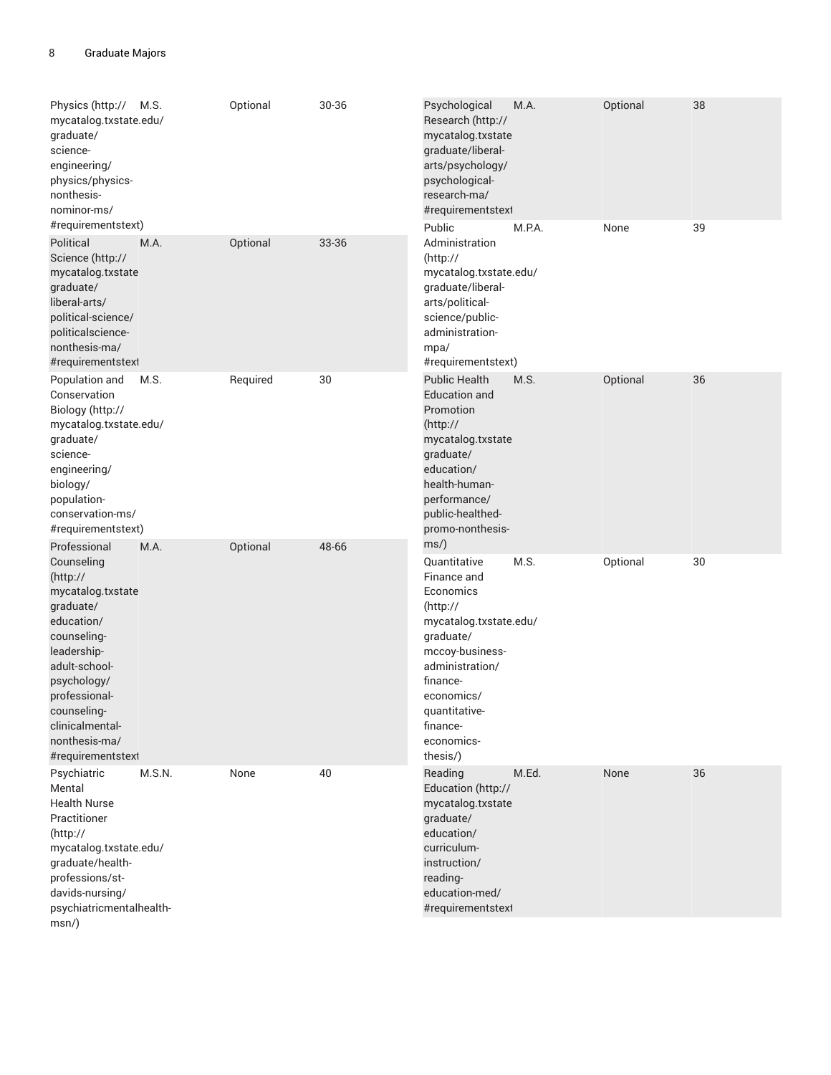| Physics (http:// M.S.<br>mycatalog.txstate.edu/<br>graduate/<br>science-<br>engineering/<br>physics/physics-<br>nonthesis-<br>nominor-ms/                                                                                                    |        | Optional | 30-36 | Psychological<br>Research (http://<br>mycatalog.txstate<br>graduate/liberal-<br>arts/psychology/<br>psychological-<br>research-ma/<br>#requirementstext                                                                   | M.A.   | Optional | 38 |
|----------------------------------------------------------------------------------------------------------------------------------------------------------------------------------------------------------------------------------------------|--------|----------|-------|---------------------------------------------------------------------------------------------------------------------------------------------------------------------------------------------------------------------------|--------|----------|----|
| #requirementstext)<br>Political<br>Science (http://<br>mycatalog.txstate<br>graduate/<br>liberal-arts/<br>political-science/<br>politicalscience-<br>nonthesis-ma/<br>#requirementstext                                                      | M.A.   | Optional | 33-36 | Public<br>Administration<br>(htp://<br>mycatalog.txstate.edu/<br>graduate/liberal-<br>arts/political-<br>science/public-<br>administration-<br>mpa/<br>#requirementstext)                                                 | M.P.A. | None     | 39 |
| Population and<br>Conservation<br>Biology (http://<br>mycatalog.txstate.edu/<br>graduate/<br>science-<br>engineering/<br>biology/<br>population-<br>conservation-ms/<br>#requirementstext)                                                   | M.S.   | Required | 30    | <b>Public Health</b><br><b>Education</b> and<br>Promotion<br>(htp://<br>mycatalog.txstate<br>graduate/<br>education/<br>health-human-<br>performance/<br>public-healthed-<br>promo-nonthesis-                             | M.S.   | Optional | 36 |
| Professional<br>Counseling<br>(htp://<br>mycatalog.txstate<br>graduate/<br>education/<br>counseling-<br>leadership-<br>adult-school-<br>psychology/<br>professional-<br>counseling-<br>clinicalmental-<br>nonthesis-ma/<br>#requirementstext | M.A.   | Optional | 48-66 | ms/<br>Quantitative<br>Finance and<br>Economics<br>(http://<br>mycatalog.txstate.edu/<br>graduate/<br>mccoy-business-<br>administration/<br>finance-<br>economics/<br>quantitative-<br>finance-<br>economics-<br>thesis/) | M.S.   | Optional | 30 |
| Psychiatric<br>Mental<br><b>Health Nurse</b><br>Practitioner<br>(http://<br>mycatalog.txstate.edu/<br>graduate/health-<br>professions/st-<br>davids-nursing/<br>psychiatricmentalhealth-<br>msn/)                                            | M.S.N. | None     | 40    | Reading<br>Education (http://<br>mycatalog.txstate<br>graduate/<br>education/<br>curriculum-<br>instruction/<br>reading-<br>education-med/<br>#requirementstext                                                           | M.Ed.  | None     | 36 |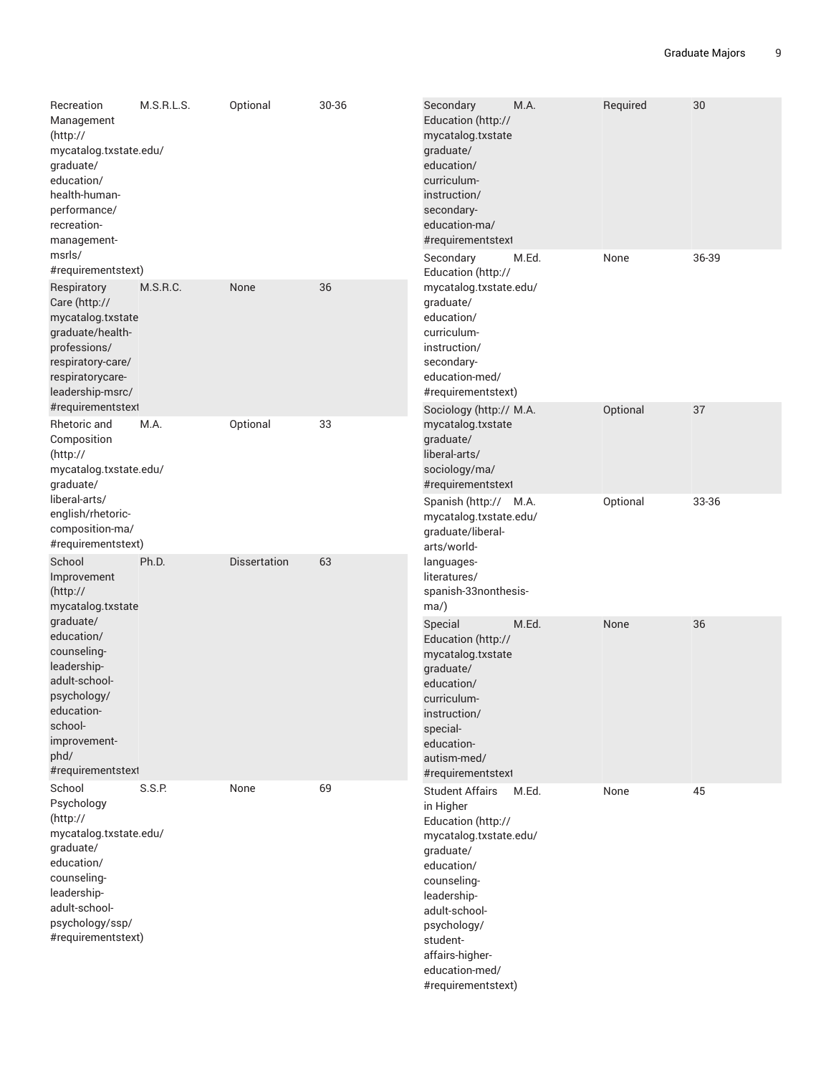| Recreation<br>Management<br>(http://<br>mycatalog.txstate.edu/<br>qraduate/<br>education/<br>health-human-<br>performance/<br>recreation-<br>management-                      | M.S.R.L.S. | Optional     | 30-36 | Secondary<br>Education (http://<br>mycatalog.txstate<br>graduate/<br>education/<br>curriculum-<br>instruction/<br>secondary-<br>education-ma/<br>#requirementstext                                                                                  | M.A.  | Required | 30    |
|-------------------------------------------------------------------------------------------------------------------------------------------------------------------------------|------------|--------------|-------|-----------------------------------------------------------------------------------------------------------------------------------------------------------------------------------------------------------------------------------------------------|-------|----------|-------|
| msrls/<br>#requirementstext)                                                                                                                                                  |            |              |       | Secondary<br>Education (http://                                                                                                                                                                                                                     | M.Ed. | None     | 36-39 |
| Respiratory<br>Care (http://<br>mycatalog.txstate<br>graduate/health-<br>professions/<br>respiratory-care/<br>respiratorycare-<br>leadership-msrc/                            | M.S.R.C.   | None         | 36    | mycatalog.txstate.edu/<br>qraduate/<br>education/<br>curriculum-<br>instruction/<br>secondary-<br>education-med/<br>#requirementstext)                                                                                                              |       |          |       |
| #requirementstext                                                                                                                                                             |            |              |       | Sociology (http:// M.A.                                                                                                                                                                                                                             |       | Optional | 37    |
| Rhetoric and<br>Composition<br>(htp://<br>mycatalog.txstate.edu/<br>graduate/                                                                                                 | M.A.       | Optional     | 33    | mycatalog.txstate<br>graduate/<br>liberal-arts/<br>sociology/ma/<br>#requirementstext                                                                                                                                                               |       |          |       |
| liberal-arts/<br>english/rhetoric-<br>composition-ma/<br>#requirementstext)                                                                                                   |            |              |       | Spanish (http:// M.A.<br>mycatalog.txstate.edu/<br>graduate/liberal-<br>arts/world-                                                                                                                                                                 |       | Optional | 33-36 |
| School<br>Improvement<br>(htp://<br>mycatalog.txstate                                                                                                                         | Ph.D.      | Dissertation | 63    | languages-<br>literatures/<br>spanish-33nonthesis-<br>$ma$ )                                                                                                                                                                                        |       |          |       |
| graduate/<br>education/<br>counseling-<br>leadership-<br>adult-school-<br>psychology/<br>education-<br>school-<br>improvement-<br>phd/<br>#requirementstext                   |            |              |       | Special<br>Education (http://<br>mycatalog.txstate<br>qraduate/<br>education/<br>curriculum-<br>instruction/<br>special-<br>education-<br>autism-med/<br>#requirementstext                                                                          | M.Ed. | None     | 36    |
| School<br>Psychology<br>(http://<br>mycatalog.txstate.edu/<br>graduate/<br>education/<br>counseling-<br>leadership-<br>adult-school-<br>psychology/ssp/<br>#requirementstext) | S.S.P.     | None         | 69    | <b>Student Affairs</b><br>in Higher<br>Education (http://<br>mycatalog.txstate.edu/<br>graduate/<br>education/<br>counseling-<br>leadership-<br>adult-school-<br>psychology/<br>student-<br>affairs-higher-<br>education-med/<br>#requirementstext) | M.Ed. | None     | 45    |